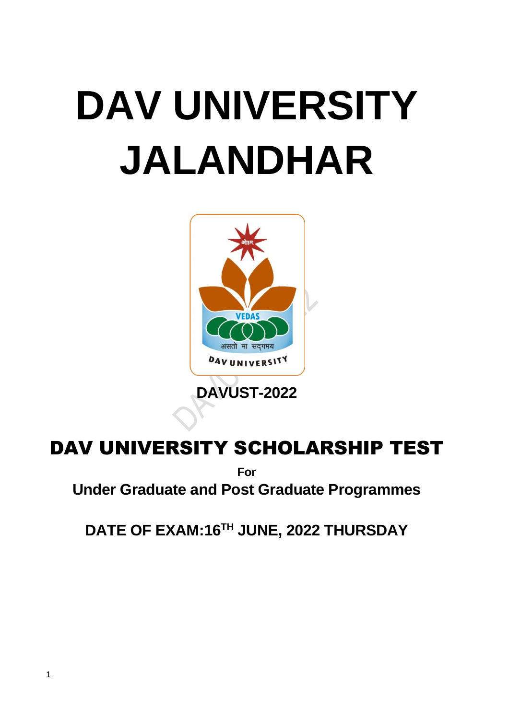

# DAV UNIVERSITY SCHOLARSHIP TEST

**For**

**Under Graduate and Post Graduate Programmes**

**DATE OF EXAM:16TH JUNE, 2022 THURSDAY**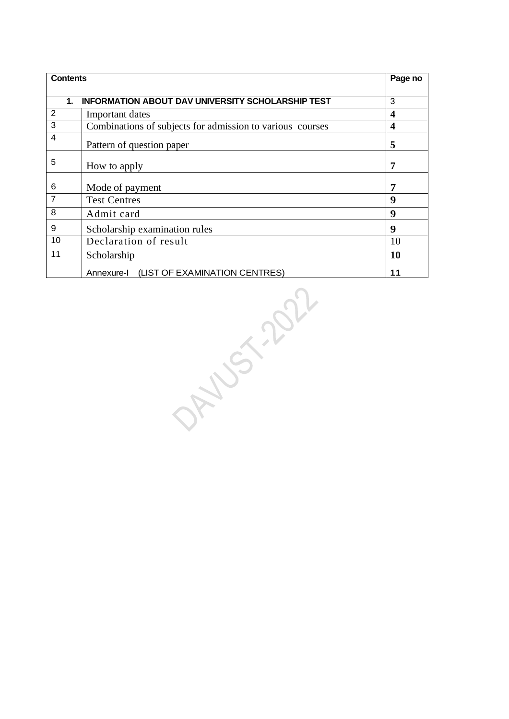| <b>Contents</b> |                                                           | Page no          |
|-----------------|-----------------------------------------------------------|------------------|
|                 |                                                           |                  |
| 1.              | <b>INFORMATION ABOUT DAV UNIVERSITY SCHOLARSHIP TEST</b>  | 3                |
| 2               | Important dates                                           | 4                |
| 3               | Combinations of subjects for admission to various courses | $\boldsymbol{4}$ |
| 4               | Pattern of question paper                                 | 5                |
| 5               | How to apply                                              | 7                |
| 6               | Mode of payment                                           | 7                |
| $\overline{7}$  | <b>Test Centres</b>                                       | 9                |
| 8               | Admit card                                                | 9                |
| 9               | Scholarship examination rules                             | 9                |
| 10              | Declaration of result                                     | 10               |
| 11              | Scholarship                                               | 10               |
|                 | Annexure-I (LIST OF EXAMINATION CENTRES)                  | 11               |

 $25.207$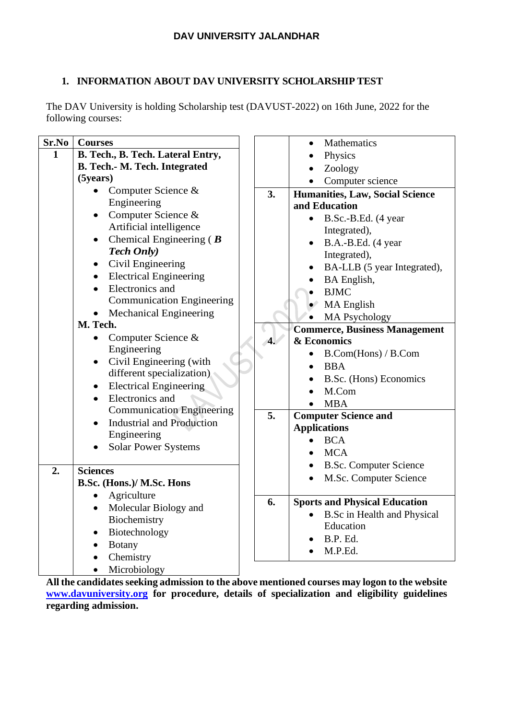# **1. INFORMATION ABOUT DAV UNIVERSITY SCHOLARSHIP TEST**

The DAV University is holding Scholarship test (DAVUST-2022) on 16th June, 2022 for the following courses:

| Sr.No        | <b>Courses</b>                                       |                  | Mathematics                          |
|--------------|------------------------------------------------------|------------------|--------------------------------------|
| $\mathbf{1}$ | B. Tech., B. Tech. Lateral Entry,                    |                  | Physics                              |
|              | B. Tech.- M. Tech. Integrated                        |                  | Zoology                              |
|              | (5 years)                                            |                  | Computer science                     |
|              | Computer Science &<br>$\bullet$                      | 3.               | Humanities, Law, Social Science      |
|              | Engineering                                          |                  | and Education                        |
|              | Computer Science &<br>$\bullet$                      |                  | B.Sc.-B.Ed. (4 year                  |
|              | Artificial intelligence                              |                  | Integrated),                         |
|              | Chemical Engineering ( $\boldsymbol{B}$<br>$\bullet$ |                  | B.A.-B.Ed. (4 year<br>$\bullet$      |
|              | <b>Tech Only</b> )                                   |                  | Integrated),                         |
|              | Civil Engineering<br>$\bullet$                       |                  | BA-LLB (5 year Integrated),          |
|              | <b>Electrical Engineering</b><br>$\bullet$           |                  | <b>BA</b> English,                   |
|              | Electronics and                                      |                  | <b>BJMC</b>                          |
|              | <b>Communication Engineering</b>                     |                  | MA English                           |
|              | <b>Mechanical Engineering</b><br>$\bullet$           |                  | <b>MA Psychology</b>                 |
|              | M. Tech.                                             |                  | <b>Commerce, Business Management</b> |
|              | Computer Science &                                   | $\overline{4}$ . | & Economics                          |
|              | Engineering                                          |                  | B.Com(Hons) / B.Com                  |
|              | Civil Engineering (with<br>$\bullet$                 |                  | <b>BBA</b>                           |
|              | different specialization)                            |                  | B.Sc. (Hons) Economics               |
|              | <b>Electrical Engineering</b><br>$\bullet$           |                  | M.Com                                |
|              | Electronics and<br>$\bullet$                         |                  | <b>MBA</b>                           |
|              | <b>Communication Engineering</b>                     | 5.               | <b>Computer Science and</b>          |
|              | <b>Industrial and Production</b>                     |                  | <b>Applications</b>                  |
|              | Engineering                                          |                  | <b>BCA</b>                           |
|              | <b>Solar Power Systems</b>                           |                  | <b>MCA</b>                           |
|              |                                                      |                  | <b>B.Sc. Computer Science</b>        |
| 2.           | <b>Sciences</b>                                      |                  | M.Sc. Computer Science               |
|              | B.Sc. (Hons.)/ M.Sc. Hons                            |                  |                                      |
|              | Agriculture<br>$\bullet$                             | 6.               | <b>Sports and Physical Education</b> |
|              | Molecular Biology and<br>$\bullet$<br>Biochemistry   |                  | <b>B.Sc</b> in Health and Physical   |
|              |                                                      |                  | Education                            |
|              | Biotechnology                                        |                  | B.P. Ed.                             |
|              | <b>Botany</b><br>$\bullet$                           |                  | M.P.Ed.                              |
|              | Chemistry                                            |                  |                                      |
|              | Microbiology<br>$\bullet$                            |                  |                                      |

**All the candidates seeking admission to the above mentioned courses may logon to the website [www.davuniversity.org](http://www.davuniversity.org/) for procedure, details of specialization and eligibility guidelines regarding admission.**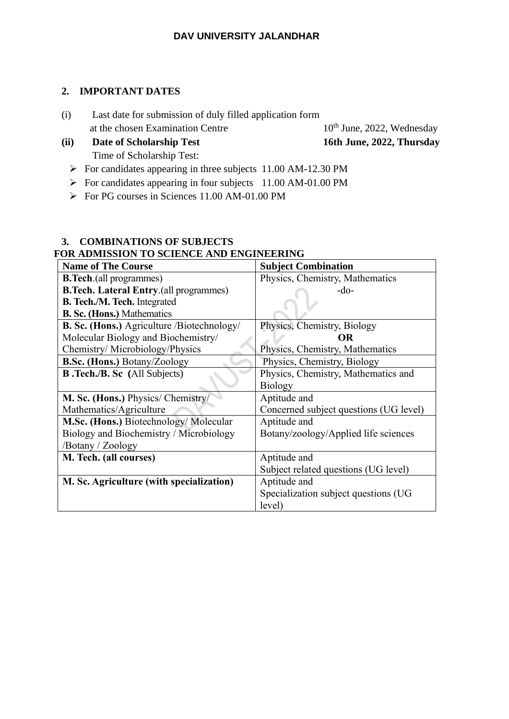#### **2. IMPORTANT DATES**

- (i) Last date for submission of duly filled application form at the chosen Examination Centre  $10^{th}$  June, 2022, Wednesday
- **(ii) Date of Scholarship Test 16th June, 2022, Thursday** Time of Scholarship Test:
- - ➢ For candidates appearing in three subjects 11.00 AM-12.30 PM
	- ➢ For candidates appearing in four subjects 11.00 AM-01.00 PM
	- ➢ For PG courses in Sciences 11.00 AM-01.00 PM

#### **3. COMBINATIONS OF SUBJECTS FOR ADMISSION TO SCIENCE AND ENGINEERING**

| <b>Name of The Course</b>                         | <b>Subject Combination</b>             |
|---------------------------------------------------|----------------------------------------|
| <b>B.Tech.</b> (all programmes)                   | Physics, Chemistry, Mathematics        |
| <b>B.Tech. Lateral Entry.</b> (all programmes)    | $-do-$                                 |
| <b>B. Tech./M. Tech.</b> Integrated               |                                        |
| <b>B. Sc. (Hons.) Mathematics</b>                 |                                        |
| <b>B. Sc. (Hons.)</b> Agriculture /Biotechnology/ | Physics, Chemistry, Biology            |
| Molecular Biology and Biochemistry/               | OR                                     |
| Chemistry/Microbiology/Physics                    | Physics, Chemistry, Mathematics        |
| <b>B.Sc. (Hons.)</b> Botany/Zoology               | Physics, Chemistry, Biology            |
| <b>B. Tech./B. Sc</b> (All Subjects)              | Physics, Chemistry, Mathematics and    |
|                                                   | <b>Biology</b>                         |
| M. Sc. (Hons.) Physics/ Chemistry/                | Aptitude and                           |
| Mathematics/Agriculture                           | Concerned subject questions (UG level) |
| M.Sc. (Hons.) Biotechnology/Molecular             | Aptitude and                           |
| Biology and Biochemistry / Microbiology           | Botany/zoology/Applied life sciences   |
| /Botany / Zoology                                 |                                        |
| M. Tech. (all courses)                            | Aptitude and                           |
|                                                   | Subject related questions (UG level)   |
| M. Sc. Agriculture (with specialization)          | Aptitude and                           |
|                                                   | Specialization subject questions (UG   |
|                                                   | level)                                 |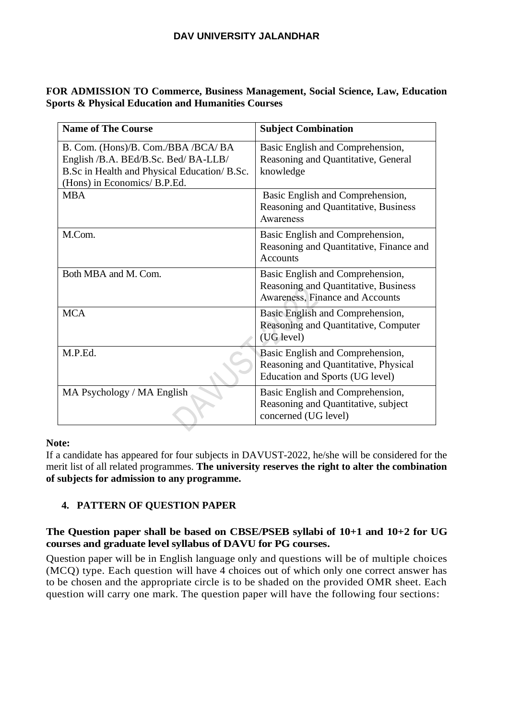#### **FOR ADMISSION TO Commerce, Business Management, Social Science, Law, Education Sports & Physical Education and Humanities Courses**

| <b>Name of The Course</b>                                                                                                                                 | <b>Subject Combination</b>                                                                                  |
|-----------------------------------------------------------------------------------------------------------------------------------------------------------|-------------------------------------------------------------------------------------------------------------|
| B. Com. (Hons)/B. Com./BBA /BCA/BA<br>English /B.A. BEd/B.Sc. Bed/ BA-LLB/<br>B.Sc in Health and Physical Education/B.Sc.<br>(Hons) in Economics/ B.P.Ed. | Basic English and Comprehension,<br>Reasoning and Quantitative, General<br>knowledge                        |
| <b>MBA</b>                                                                                                                                                | Basic English and Comprehension,<br>Reasoning and Quantitative, Business<br>Awareness                       |
| M.Com.                                                                                                                                                    | Basic English and Comprehension,<br>Reasoning and Quantitative, Finance and<br><b>Accounts</b>              |
| Both MBA and M. Com.                                                                                                                                      | Basic English and Comprehension,<br>Reasoning and Quantitative, Business<br>Awareness, Finance and Accounts |
| <b>MCA</b>                                                                                                                                                | Basic English and Comprehension,<br>Reasoning and Quantitative, Computer<br>(UG level)                      |
| M.P.Ed.                                                                                                                                                   | Basic English and Comprehension,<br>Reasoning and Quantitative, Physical<br>Education and Sports (UG level) |
| MA Psychology / MA English                                                                                                                                | Basic English and Comprehension,<br>Reasoning and Quantitative, subject<br>concerned (UG level)             |

#### **Note:**

If a candidate has appeared for four subjects in DAVUST-2022, he/she will be considered for the merit list of all related programmes. **The university reserves the right to alter the combination of subjects for admission to any programme.**

#### **4. PATTERN OF QUESTION PAPER**

#### **The Question paper shall be based on CBSE/PSEB syllabi of 10+1 and 10+2 for UG courses and graduate level syllabus of DAVU for PG courses.**

Question paper will be in English language only and questions will be of multiple choices (MCQ) type. Each question will have 4 choices out of which only one correct answer has to be chosen and the appropriate circle is to be shaded on the provided OMR sheet. Each question will carry one mark. The question paper will have the following four sections: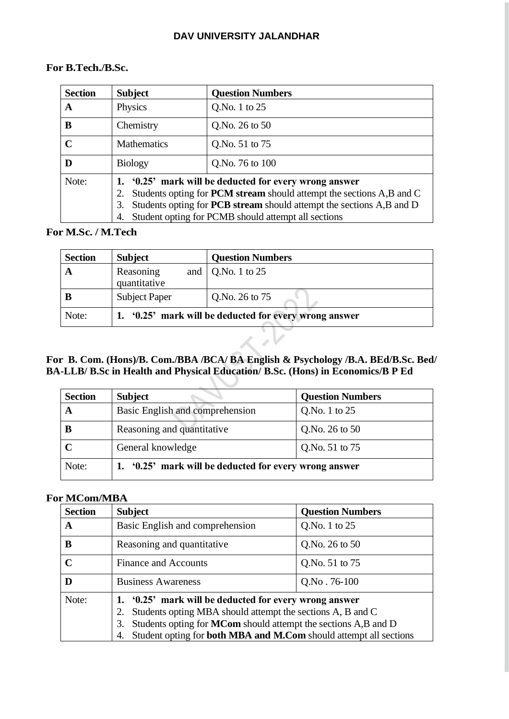#### **For B.Tech./B.Sc.**

| <b>Section</b> | <b>Subject</b>                                                                                                                                                                                                                                                                             | <b>Question Numbers</b> |
|----------------|--------------------------------------------------------------------------------------------------------------------------------------------------------------------------------------------------------------------------------------------------------------------------------------------|-------------------------|
| A              | Physics                                                                                                                                                                                                                                                                                    | Q.No. 1 to 25           |
| B              | Chemistry                                                                                                                                                                                                                                                                                  | Q.No. 26 to 50          |
| $\mathbf C$    | <b>Mathematics</b>                                                                                                                                                                                                                                                                         | Q.No. 51 to 75          |
|                | <b>Biology</b>                                                                                                                                                                                                                                                                             | Q.No. 76 to 100         |
| Note:          | '0.25' mark will be deducted for every wrong answer<br>Students opting for <b>PCM</b> stream should attempt the sections A,B and C<br>2.<br>Students opting for <b>PCB stream</b> should attempt the sections A,B and D<br>3.<br>Student opting for PCMB should attempt all sections<br>4. |                         |

#### **For M.Sc. / M.Tech**

| <b>Section</b> | <b>Subject</b>                                      | <b>Question Numbers</b>   |
|----------------|-----------------------------------------------------|---------------------------|
| A              | Reasoning<br>quantitative                           | and $\vert$ Q.No. 1 to 25 |
| В              | <b>Subject Paper</b>                                | Q.No. 26 to 75            |
| Note:          | '0.25' mark will be deducted for every wrong answer |                           |
|                |                                                     |                           |

#### **For B. Com. (Hons)/B. Com./BBA /BCA/ BA English & Psychology /B.A. BEd/B.Sc. Bed/ BA-LLB/ B.Sc in Health and Physical Education/ B.Sc. (Hons) in Economics/B P Ed**

| <b>Section</b> | <b>Subject</b>                                      | <b>Question Numbers</b> |
|----------------|-----------------------------------------------------|-------------------------|
|                | Basic English and comprehension                     | Q.No. 1 to 25           |
| B              | Reasoning and quantitative                          | Q.No. 26 to $50$        |
| $\mathbf C$    | General knowledge                                   | Q.No. 51 to 75          |
| Note:          | '0.25' mark will be deducted for every wrong answer |                         |

#### **For MCom/MBA**

| <b>Section</b> | <b>Subject</b>                                                                                                                                                                                                                                                                           | <b>Question Numbers</b> |
|----------------|------------------------------------------------------------------------------------------------------------------------------------------------------------------------------------------------------------------------------------------------------------------------------------------|-------------------------|
| A              | Basic English and comprehension                                                                                                                                                                                                                                                          | Q.No. 1 to 25           |
| B              | Reasoning and quantitative                                                                                                                                                                                                                                                               | Q.No. 26 to 50          |
| $\mathbf C$    | <b>Finance and Accounts</b>                                                                                                                                                                                                                                                              | Q.No. 51 to 75          |
| D              | <b>Business Awareness</b>                                                                                                                                                                                                                                                                | $Q.No.76-100$           |
| Note:          | '0.25' mark will be deducted for every wrong answer<br>Students opting MBA should attempt the sections A, B and C<br>2.<br>Students opting for <b>MCom</b> should attempt the sections A,B and D<br>3.<br>Student opting for <b>both MBA and M.Com</b> should attempt all sections<br>4. |                         |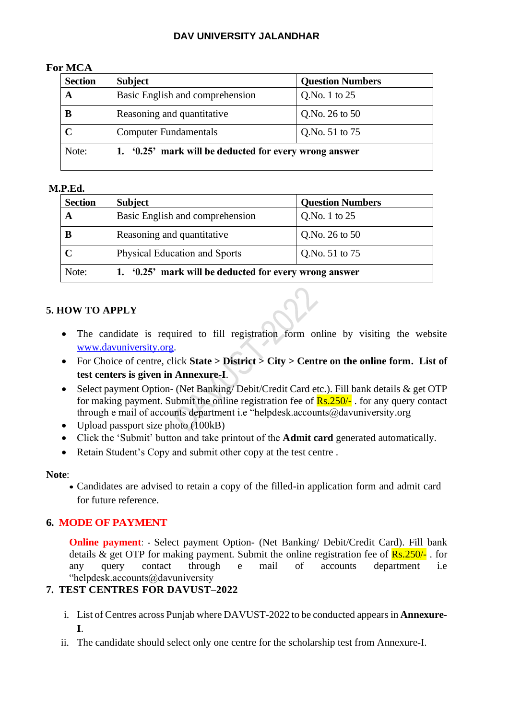#### **For MCA**

| <b>Section</b> | <b>Subject</b>                                      | <b>Question Numbers</b> |
|----------------|-----------------------------------------------------|-------------------------|
| A              | Basic English and comprehension                     | Q.No. 1 to $25$         |
| В              | Reasoning and quantitative                          | Q.No. 26 to 50          |
|                | <b>Computer Fundamentals</b>                        | Q.No. 51 to 75          |
| Note:          | '0.25' mark will be deducted for every wrong answer |                         |

#### **M.P.Ed.**

| <b>Section</b> | <b>Subject</b>                                      | <b>Question Numbers</b> |
|----------------|-----------------------------------------------------|-------------------------|
|                | Basic English and comprehension                     | Q.No. 1 to 25           |
| B              | Reasoning and quantitative                          | Q.No. 26 to $50$        |
|                | <b>Physical Education and Sports</b>                | Q.No. 51 to 75          |
| Note:          | '0.25' mark will be deducted for every wrong answer |                         |

#### **5. HOW TO APPLY**

- The candidate is required to fill registration form online by visiting the website [www.davuniversity.org.](http://www.davuniversity.org/)
- For Choice of centre, click **State > District > City > Centre on the online form. List of test centers is given in Annexure-I**.
- Select payment Option- (Net Banking/Debit/Credit Card etc.). Fill bank details & get OTP for making payment. Submit the online registration fee of  $\frac{Rs.250}{l}$ . for any query contact through e mail of accounts department i.e "helpdesk.accounts@davuniversity.org
- Upload passport size photo (100kB)
- Click the 'Submit' button and take printout of the **Admit card** generated automatically.
- Retain Student's Copy and submit other copy at the test centre .

#### **Note**:

• Candidates are advised to retain a copy of the filled-in application form and admit card for future reference.

#### **6. MODE OF PAYMENT**

**Online payment**: - Select payment Option- (Net Banking/ Debit/Credit Card). Fill bank details & get OTP for making payment. Submit the online registration fee of  $\frac{Rs.250}{\cdot}$ . for any query contact through e mail of accounts department i.e "helpdesk.accounts@davuniversity

## **7. TEST CENTRES FOR DAVUST–2022**

- i. List of Centres across Punjab where DAVUST-2022 to be conducted appears in **Annexure-I**.
- ii. The candidate should select only one centre for the scholarship test from Annexure-I.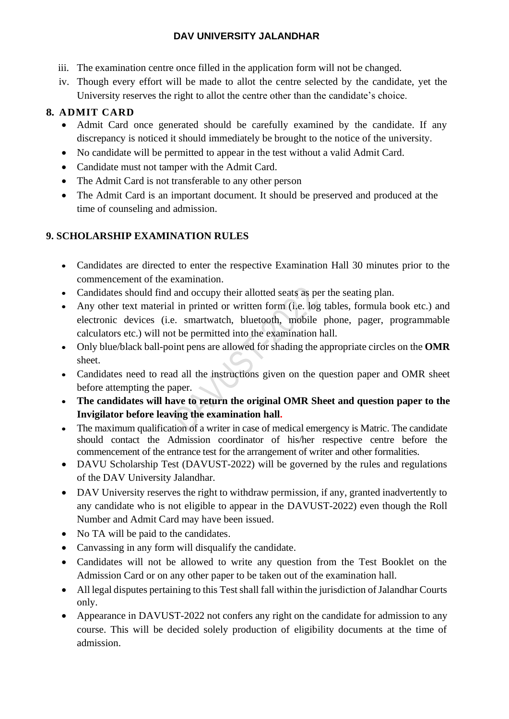- iii. The examination centre once filled in the application form will not be changed.
- iv. Though every effort will be made to allot the centre selected by the candidate, yet the University reserves the right to allot the centre other than the candidate's choice.

# **8. ADMIT CARD**

- Admit Card once generated should be carefully examined by the candidate. If any discrepancy is noticed it should immediately be brought to the notice of the university.
- No candidate will be permitted to appear in the test without a valid Admit Card.
- Candidate must not tamper with the Admit Card.
- The Admit Card is not transferable to any other person
- The Admit Card is an important document. It should be preserved and produced at the time of counseling and admission.

# **9. SCHOLARSHIP EXAMINATION RULES**

- Candidates are directed to enter the respective Examination Hall 30 minutes prior to the commencement of the examination.
- Candidates should find and occupy their allotted seats as per the seating plan.
- Any other text material in printed or written form (i.e. log tables, formula book etc.) and electronic devices (i.e. smartwatch, bluetooth, mobile phone, pager, programmable calculators etc.) will not be permitted into the examination hall.
- Only blue/black ball-point pens are allowed for shading the appropriate circles on the **OMR**  sheet.
- Candidates need to read all the instructions given on the question paper and OMR sheet before attempting the paper.
- **The candidates will have to return the original OMR Sheet and question paper to the Invigilator before leaving the examination hall.**
- The maximum qualification of a writer in case of medical emergency is Matric. The candidate should contact the Admission coordinator of his/her respective centre before the commencement of the entrance test for the arrangement of writer and other formalities.
- DAVU Scholarship Test (DAVUST-2022) will be governed by the rules and regulations of the DAV University Jalandhar.
- DAV University reserves the right to withdraw permission, if any, granted inadvertently to any candidate who is not eligible to appear in the DAVUST-2022) even though the Roll Number and Admit Card may have been issued.
- No TA will be paid to the candidates.
- Canvassing in any form will disqualify the candidate.
- Candidates will not be allowed to write any question from the Test Booklet on the Admission Card or on any other paper to be taken out of the examination hall.
- All legal disputes pertaining to this Test shall fall within the jurisdiction of Jalandhar Courts only.
- Appearance in DAVUST-2022 not confers any right on the candidate for admission to any course. This will be decided solely production of eligibility documents at the time of admission.